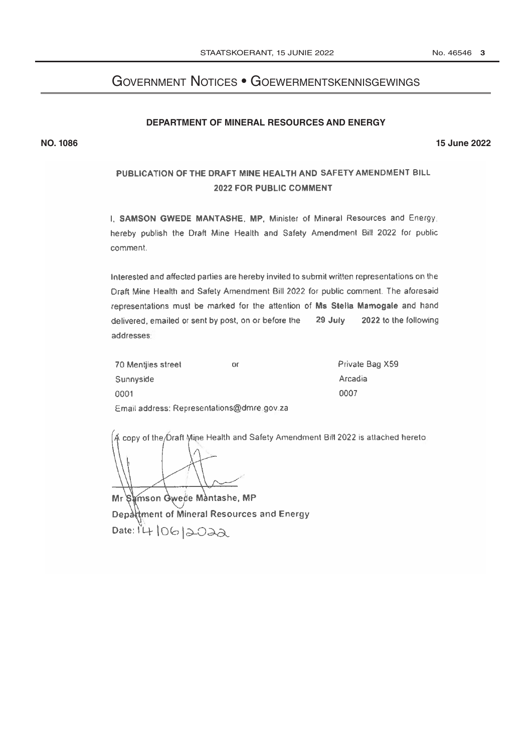# **GOVERNMENT NOTICES • GOEWERMENTSKENNISGEWINGS**

## DEPARTMENT OF MINERAL RESOURCES AND ENERGY

**15 June 2022** 

# PUBLICATION OF THE DRAFT MINE HEALTH AND SAFETY AMENDMENT BILL 2022 FOR PUBLIC COMMENT

I. SAMSON GWEDE MANTASHE, MP, Minister of Mineral Resources and Energy: hereby publish the Draft Mine Health and Safety Amendment Bill 2022 for public comment.

Interested and affected parties are hereby invited to submit written representations on the Draft Mine Health and Safety Amendment Bill 2022 for public comment. The aforesaid representations must be marked for the attention of Ms Stella Mamogale and hand delivered, emailed or sent by post, on or before the 29 July 2022 to the following addresses

| 70 Mentiles street                         | or | Private Bag X59 |
|--------------------------------------------|----|-----------------|
| Sunnyside                                  |    | <b>Arcadia</b>  |
| 0001                                       |    | 0007            |
| Email address: Representations@dmre.gov.za |    |                 |

A copy of the Oraft Mine Health and Safety Amendment Bill 2022 is attached hereto.

Mr Samson Gwede Mantashe, MP Department of Mineral Resources and Energy Date:  $1410612022$ 

**NO. 1086**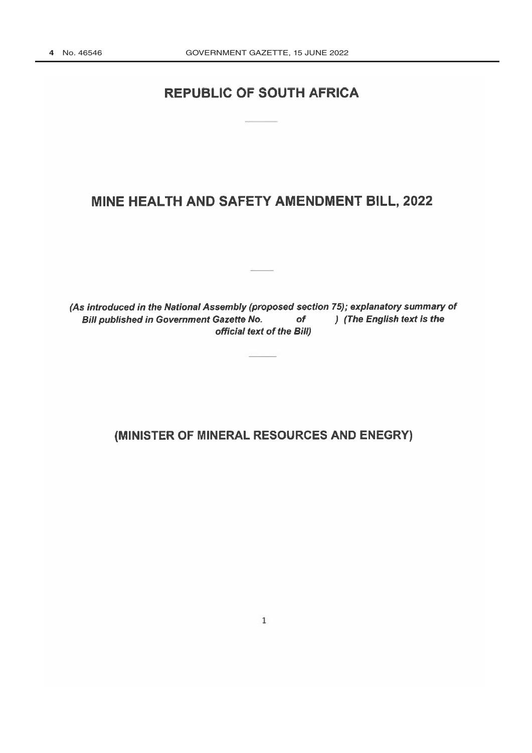# **REPUBLIC OF SOUTH AFRICA**

# MINE HEALTH AND SAFETY AMENDMENT BILL, 2022

(As introduced in the National Assembly (proposed section 75); explanatory summary of **Bill published in Government Gazette No.**  $of$ ) (The English text is the official text of the Bill)

(MINISTER OF MINERAL RESOURCES AND ENEGRY)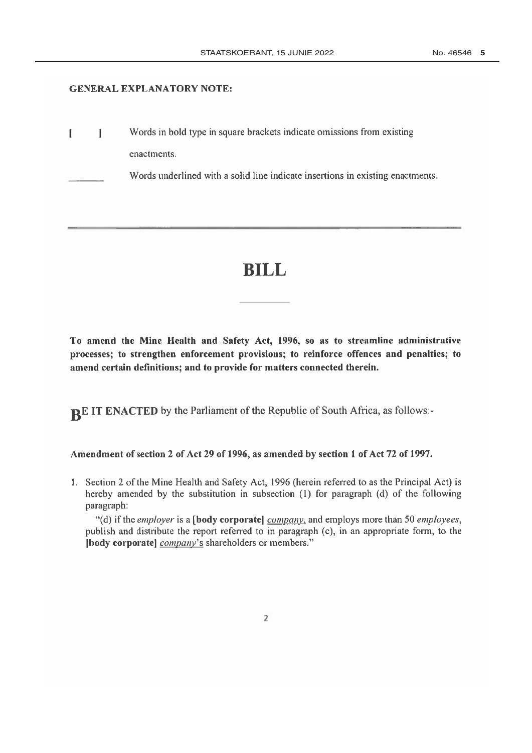#### **GENERAL EXPLANATORY NOTE:**

Words in bold type in square brackets indicate omissions from existing E Ť enactments.

Words underlined with a solid line indicate insertions in existing enactments.

# **BILL**

To amend the Mine Health and Safety Act, 1996, so as to streamline administrative processes; to strengthen enforcement provisions; to reinforce offences and penalties; to amend certain definitions; and to provide for matters connected therein.

BE IT ENACTED by the Parliament of the Republic of South Africa, as follows:-

# Amendment of section 2 of Act 29 of 1996, as amended by section 1 of Act 72 of 1997.

1. Section 2 of the Mine Health and Safety Act, 1996 (herein referred to as the Principal Act) is hereby amended by the substitution in subsection (1) for paragraph (d) of the following paragraph:

"(d) if the employer is a [body corporate] company, and employs more than 50 employees, publish and distribute the report referred to in paragraph (c), in an appropriate form, to the [body corporate] *company*'s shareholders or members."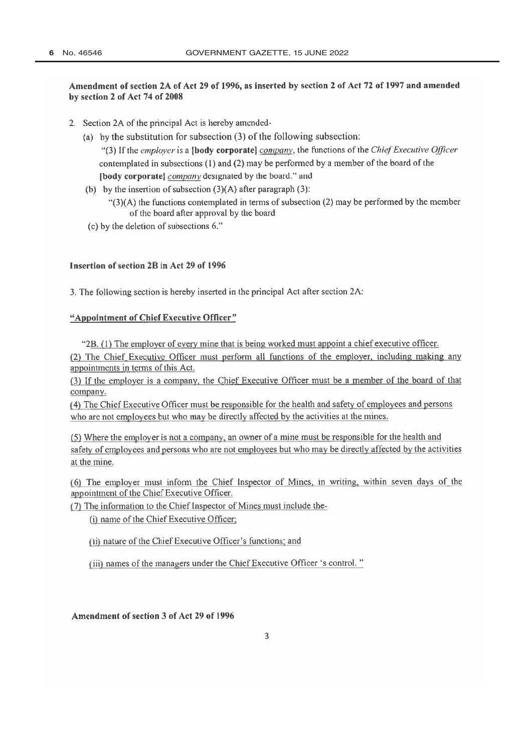## Amendment of section 2A of Act 29 of 1996, as inserted by section 2 of Act 72 of 1997 and amended by section 2 of Act 74 of 2008

- 2. Section 2A of the principal Act is hereby amended-
	- (a) by the substitution for subsection (3) of the following subsection:

"(3) If the employer is a [body corporate] company, the functions of the Chief Executive Officer contemplated in subsections  $(1)$  and  $(2)$  may be performed by a member of the board of the [body corporate] *company* designated by the board." and

(b) by the insertion of subsection  $(3)(A)$  after paragraph  $(3)$ :

" $(3)(A)$  the functions contemplated in terms of subsection (2) may be performed by the member of the board after approval by the board

(c) by the deletion of subsections 6."

#### Insertion of section 2R in Act 29 of 1996

3. The following section is hereby inserted in the principal Act after section 2A:

#### "Appointment of Chief Executive Officer"

"2B. (1) The employer of every mine that is being worked must appoint a chief executive officer.

(2) The Chief Executive Officer must perform all functions of the employer, including making any appointments in terms of this Act.

(3) If the employer is a company, the Chief Executive Officer must be a member of the board of that company.

(4) The Chief Executive Officer must be responsible for the health and safety of employees and persons who are not employees but who may be directly affected by the activities at the mines.

(5) Where the employer is not a company, an owner of a mine must be responsible for the health and safety of employees and persons who are not employees but who may be directly affected by the activities at the mine.

(6) The employer must inform the Chief Inspector of Mines, in writing, within seven days of the appointment of the Chief Executive Officer.

(7) The information to the Chief Inspector of Mines must include the-

(i) name of the Chief Executive Officer;

(ii) nature of the Chief Executive Officer's functions; and

(iii) names of the managers under the Chief Executive Officer 's control."

Amendment of section 3 of Act 29 of 1996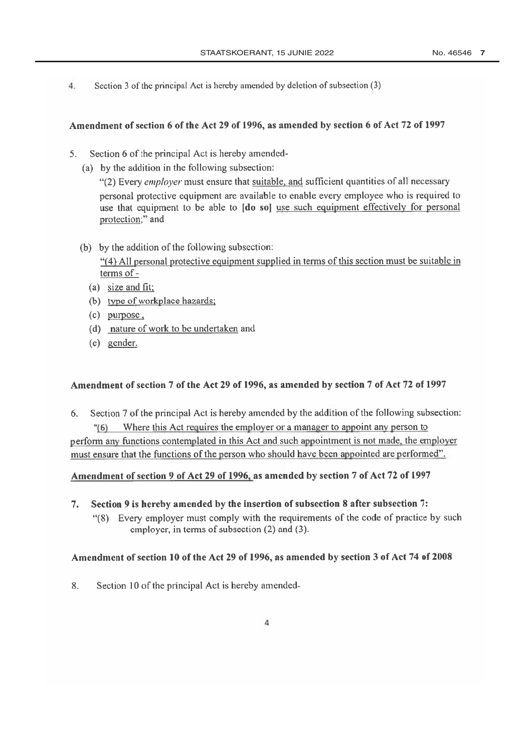Section 3 of the principal Act is hereby amended by deletion of subsection (3)  $4.$ 

## Amendment of section 6 of the Act 29 of 1996, as amended by section 6 of Act 72 of 1997

- Section 6 of the principal Act is hereby amended- $5<sub>1</sub>$ 
	- (a) by the addition in the following subsection:

"(2) Every employer must ensure that suitable, and sufficient quantities of all necessary personal protective equipment are available to enable every employee who is required to use that equipment to be able to [do so] use such equipment effectively for personal protection;" and

(b) by the addition of the following subsection:

"(4) All personal protective equipment supplied in terms of this section must be suitable in terms of -

- (a) size and fit;
- (b) type of workplace hazards;
- $(c)$  purpose,
- (d) nature of work to be undertaken and
- (e) gender.

# Amendment of section 7 of the Act 29 of 1996, as amended by section 7 of Act 72 of 1997

Section 7 of the principal Act is hereby amended by the addition of the following subsection: 6. Where this Act requires the employer or a manager to appoint any person to  $(6)$ perform any functions contemplated in this Act and such appointment is not made, the employer must ensure that the functions of the person who should have been appointed are performed".

# Amendment of section 9 of Act 29 of 1996, as amended by section 7 of Act 72 of 1997

- $7.$ Section 9 is hereby amended by the insertion of subsection 8 after subsection 7:
	- "(8) Every employer must comply with the requirements of the code of practice by such employer, in terms of subsection (2) and (3).

## Amendment of section 10 of the Act 29 of 1996, as amended by section 3 of Act 74 of 2008

8. Section 10 of the principal Act is hereby amended-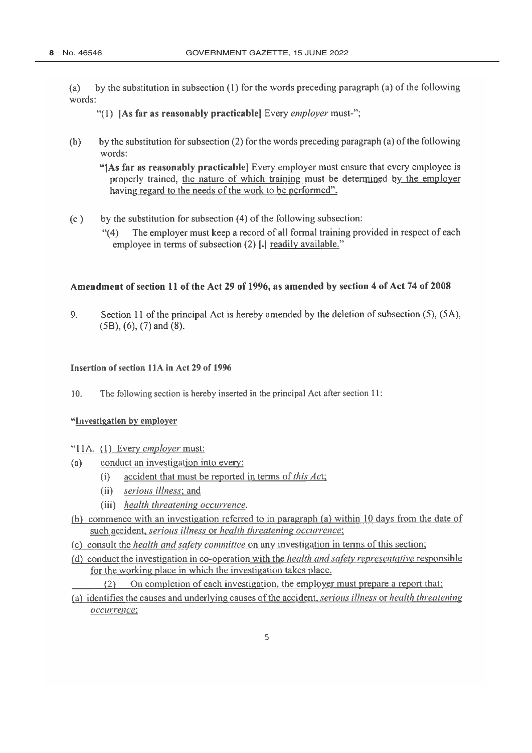by the substitution in subsection  $(1)$  for the words preceding paragraph (a) of the following  $(a)$ words:

"(1) [As far as reasonably practicable] Every employer must-";

by the substitution for subsection (2) for the words preceding paragraph (a) of the following  $(b)$ words:

"[As far as reasonably practicable] Every employer must ensure that every employee is properly trained, the nature of which training must be determined by the employer having regard to the needs of the work to be performed".

 $(c)$ by the substitution for subsection (4) of the following subsection:

> The employer must keep a record of all formal training provided in respect of each  $(4)$ employee in terms of subsection (2) [.] readily available."

#### Amendment of section 11 of the Act 29 of 1996, as amended by section 4 of Act 74 of 2008

Section 11 of the principal Act is hereby amended by the deletion of subsection (5), (5A), 9.  $(5B)$ ,  $(6)$ ,  $(7)$  and  $(8)$ .

#### Insertion of section 11A in Act 29 of 1996

 $10.$ The following section is hereby inserted in the principal Act after section 11:

#### "Investigation by employer

## "11A. (1) Every employer must:

- conduct an investigation into every:  $(a)$ 
	- accident that must be reported in terms of this Act;  $(i)$
	- (ii) serious illness; and
	- (iii) health threatening occurrence.
- (b) commence with an investigation referred to in paragraph (a) within 10 days from the date of such accident, serious illness or health threatening occurrence;
- (c) consult the *health and safety committee* on any investigation in terms of this section;
- (d) conduct the investigation in co-operation with the *health and safety representative* responsible for the working place in which the investigation takes place.
	- On completion of each investigation, the employer must prepare a report that:  $(2)$
- (a) identifies the causes and underlying causes of the accident, *serious illness* or *health threatening* occurrence: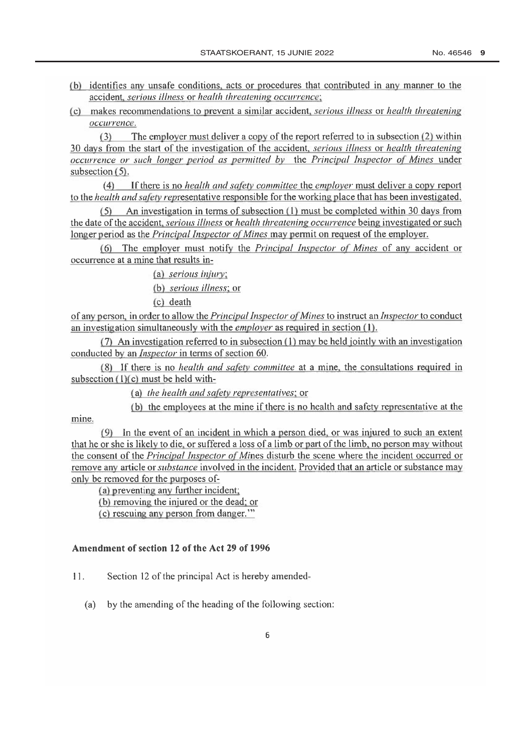- (b) identifies any unsafe conditions, acts or procedures that contributed in any manner to the accident, serious illness or health threatening occurrence;
- (c) makes recommendations to prevent a similar accident, *serious illness* or *health threatening* occurrence:

The employer must deliver a copy of the report referred to in subsection (2) within  $(3)$ 30 days from the start of the investigation of the accident, *serious illness* or *health threatening* occurrence or such longer period as permitted by the Principal Inspector of Mines under subsection  $(5)$ .

(4) If there is no *health and safety committee* the *employer* must deliver a copy report to the *health and safety representative responsible* for the working place that has been investigated.

 $(5)$  An investigation in terms of subsection (1) must be completed within 30 days from the date of the accident, *serious illness* or *health threatening occurrence* being investigated or such longer period as the Principal Inspector of Mines may permit on request of the employer.

(6) The employer must notify the *Principal Inspector of Mines* of any accident or occurrence at a mine that results in-

(a) serious injury:

(b) serious illness; or

(c) death

of any person, in order to allow the *Principal Inspector of Mines* to instruct an *Inspector* to conduct an investigation simultaneously with the *employer* as required in section (1).

 $(7)$  An investigation referred to in subsection  $(1)$  may be held jointly with an investigation conducted by an *Inspector* in terms of section 60.

(8) If there is no *health and safety committee* at a mine, the consultations required in subsection  $(1)(c)$  must be held with-

(a) the health and safety representatives; or

(b) the employees at the mine if there is no health and safety representative at the

mine.

(9) In the event of an incident in which a person died, or was injured to such an extent that he or she is likely to die, or suffered a loss of a limb or part of the limb, no person may without the consent of the *Principal Inspector of Mines* disturb the scene where the incident occurred or remove any article or *substance* involved in the incident. Provided that an article or substance may only be removed for the purposes of-

(a) preventing any further incident:

(b) removing the injured or the dead; or

(c) rescuing any person from danger."

## Amendment of section 12 of the Act 29 of 1996

 $11.$ Section 12 of the principal Act is hereby amended-

by the amending of the heading of the following section:  $(a)$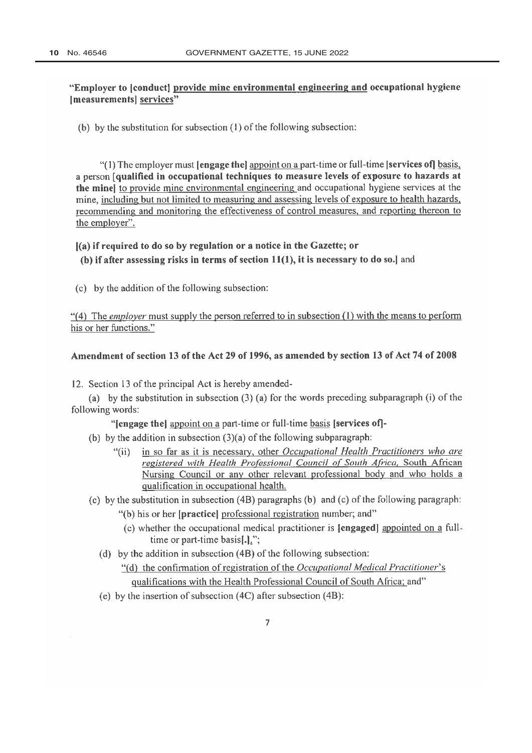# "Employer to conduct provide mine environmental engineering and occupational hygiene [measurements] services"

(b) by the substitution for subsection (1) of the following subsection:

"(1) The employer must **[engage the]** appoint on a part-time or full-time **[services of]** basis, a person [qualified in occupational techniques to measure levels of exposure to hazards at the mine to provide mine environmental engineering and occupational hygiene services at the mine, including but not limited to measuring and assessing levels of exposure to health hazards, recommending and monitoring the effectiveness of control measures, and reporting thereon to the employer".

#### (a) if required to do so by regulation or a notice in the Gazette; or

(b) if after assessing risks in terms of section  $11(1)$ , it is necessary to do so.] and

(c) by the addition of the following subsection:

"(4) The employer must supply the person referred to in subsection (1) with the means to perform his or her functions."

#### Amendment of section 13 of the Act 29 of 1996, as amended by section 13 of Act 74 of 2008

12. Section 13 of the principal Act is hereby amended-

(a) by the substitution in subsection  $(3)$  (a) for the words preceding subparagraph (i) of the following words:

"lengage thel appoint on a part-time or full-time basis [services of]-

- (b) by the addition in subsection  $(3)(a)$  of the following subparagraph:
	- in so far as it is necessary, other Occupational Health Practitioners who are " $(ii)$ registered with Health Professional Council of South Africa, South African Nursing Council or any other relevant professional body and who holds a qualification in occupational health.
- (c) by the substitution in subsection  $(4B)$  paragraphs (b) and (c) of the following paragraph:
	- "(b) his or her [practice] professional registration number; and"
	- (c) whether the occupational medical practitioner is **[engaged]** appointed on a fulltime or part-time basis[.].";
	- (d) by the addition in subsection  $(4B)$  of the following subsection:
		- "(d) the confirmation of registration of the Occupational Medical Practitioner's qualifications with the Health Professional Council of South Africa; and"
	- (e) by the insertion of subsection (4C) after subsection (4B):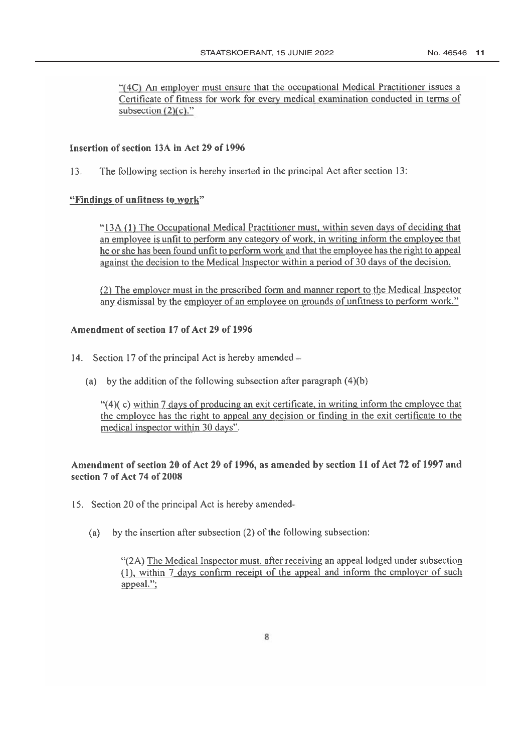"(4C) An employer must ensure that the occupational Medical Practitioner issues a Certificate of fitness for work for every medical examination conducted in terms of subsection  $(2)(c)$ ."

## Insertion of section 13A in Act 29 of 1996

 $13.$ The following section is hereby inserted in the principal Act after section 13:

#### "Findings of unfitness to work"

"13A (1) The Occupational Medical Practitioner must, within seven days of deciding that an employee is unfit to perform any category of work, in writing inform the employee that he or she has been found unfit to perform work and that the employee has the right to appeal against the decision to the Medical Inspector within a period of 30 days of the decision.

(2) The employer must in the prescribed form and manner report to the Medical Inspector any dismissal by the employer of an employee on grounds of unfitness to perform work."

# Amendment of section 17 of Act 29 of 1996

- 14. Section 17 of the principal Act is hereby amended  $-$ 
	- (a) by the addition of the following subsection after paragraph  $(4)(b)$

" $(4)$ (c) within 7 days of producing an exit certificate, in writing inform the employee that the employee has the right to appeal any decision or finding in the exit certificate to the medical inspector within 30 days".

# Amendment of section 20 of Act 29 of 1996, as amended by section 11 of Act 72 of 1997 and section 7 of Act 74 of 2008

- 15. Section 20 of the principal Act is hereby amended
	- by the insertion after subsection (2) of the following subsection:  $(a)$

"(2A) The Medical Inspector must, after receiving an appeal lodged under subsection (1), within 7 days confirm receipt of the appeal and inform the employer of such appeal.":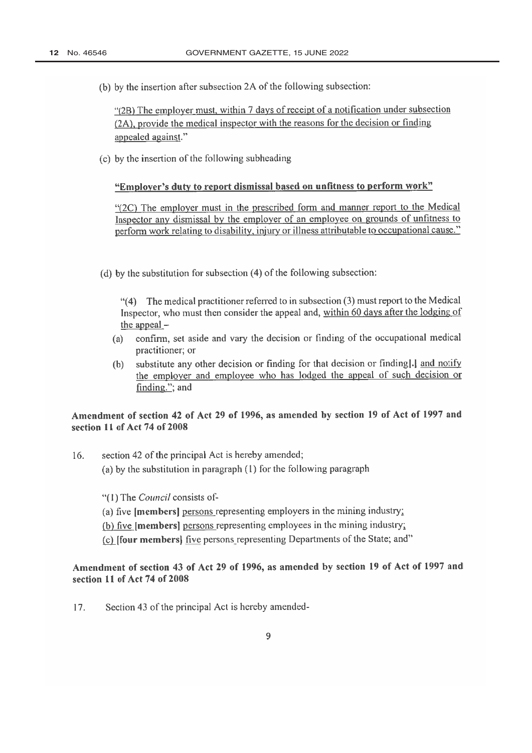(b) by the insertion after subsection 2A of the following subsection:

"(2B) The employer must, within 7 days of receipt of a notification under subsection (2A), provide the medical inspector with the reasons for the decision or finding appealed against."

(c) by the insertion of the following subheading

# "Employer's duty to report dismissal based on unfitness to perform work"

"(2C) The employer must in the prescribed form and manner report to the Medical Inspector any dismissal by the employer of an employee on grounds of unfitness to perform work relating to disability, injury or illness attributable to occupational cause."

(d) by the substitution for subsection  $(4)$  of the following subsection:

The medical practitioner referred to in subsection (3) must report to the Medical  $(4)$ Inspector, who must then consider the appeal and, within 60 days after the lodging of the appeal  $-$ 

- confirm, set aside and vary the decision or finding of the occupational medical  $(a)$ practitioner; or
- substitute any other decision or finding for that decision or finding[.] and notify  $(b)$ the employer and employee who has lodged the appeal of such decision or finding."; and

# Amendment of section 42 of Act 29 of 1996, as amended by section 19 of Act of 1997 and section 11 of Act 74 of 2008

16. section 42 of the principal Act is hereby amended; (a) by the substitution in paragraph  $(1)$  for the following paragraph

"(1) The Council consists of-

(a) five [members] persons representing employers in the mining industry;

(b) five [members] persons representing employees in the mining industry;

(c) **[four members]** five persons representing Departments of the State; and"

Amendment of section 43 of Act 29 of 1996, as amended by section 19 of Act of 1997 and section 11 of Act 74 of 2008

17. Section 43 of the principal Act is hereby amended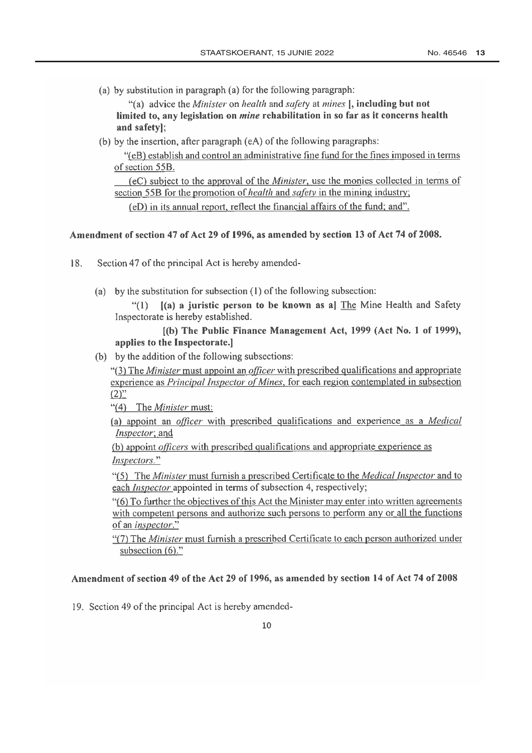(a) by substitution in paragraph (a) for the following paragraph:

"(a) advice the *Minister* on *health* and *safety* at *mines* [, including but not limited to, any legislation on *mine* rehabilitation in so far as it concerns health and safety];

(b) by the insertion, after paragraph (eA) of the following paragraphs:

"(eB) establish and control an administrative fine fund for the fines imposed in terms of section 55B.

(eC) subject to the approval of the *Minister*, use the monies collected in terms of section 55B for the promotion of *health* and *safety* in the mining industry;

(eD) in its annual report, reflect the financial affairs of the fund; and".

# Amendment of section 47 of Act 29 of 1996, as amended by section 13 of Act 74 of 2008.

- 18. Section 47 of the principal Act is hereby amended-
	- (a) by the substitution for subsection  $(1)$  of the following subsection:

 $\frac{4}{1}$  $(a)$  a juristic person to be known as a] The Mine Health and Safety Inspectorate is hereby established.

# [(b) The Public Finance Management Act, 1999 (Act No. 1 of 1999), applies to the Inspectorate.]

(b) by the addition of the following subsections:

"(3) The *Minister* must appoint an *officer* with prescribed qualifications and appropriate experience as Principal Inspector of Mines, for each region contemplated in subsection  $(2)$ "

"(4) The Minister must:

(a) appoint an *officer* with prescribed qualifications and experience as a *Medical* Inspector; and

(b) appoint *officers* with prescribed qualifications and appropriate experience as Inspectors."

"(5) The *Minister* must furnish a prescribed Certificate to the *Medical Inspector* and to each *Inspector* appointed in terms of subsection 4, respectively;

"(6) To further the objectives of this Act the Minister may enter into written agreements with competent persons and authorize such persons to perform any or all the functions of an inspector."

"(7) The *Minister* must furnish a prescribed Certificate to each person authorized under subsection  $(6)$ ."

## Amendment of section 49 of the Act 29 of 1996, as amended by section 14 of Act 74 of 2008

19. Section 49 of the principal Act is hereby amended-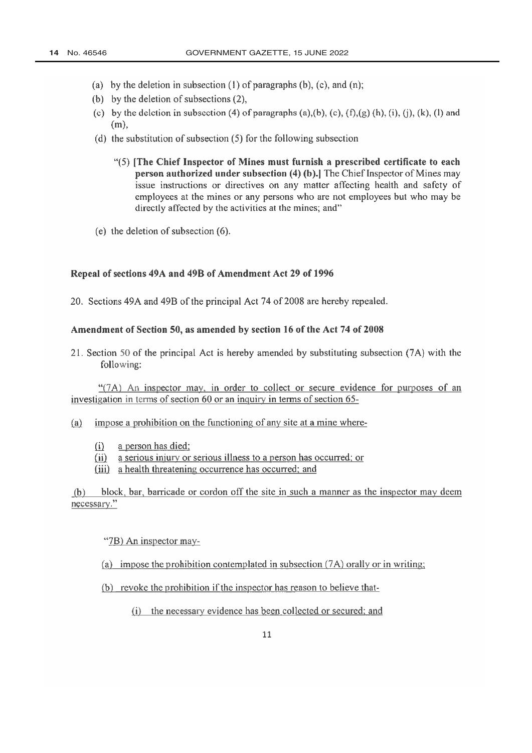- (a) by the deletion in subsection  $(1)$  of paragraphs  $(b)$ ,  $(c)$ , and  $(n)$ ;
- (b) by the deletion of subsections  $(2)$ ,
- (c) by the deletion in subsection (4) of paragraphs (a),(b), (c),  $(f)$ ,(g) (h), (i), (j), (k), (l) and  $(m)$ ,
- (d) the substitution of subsection  $(5)$  for the following subsection
	- "(5) [The Chief Inspector of Mines must furnish a prescribed certificate to each person authorized under subsection (4) (b).] The Chief Inspector of Mines may issue instructions or directives on any matter affecting health and safety of employees at the mines or any persons who are not employees but who may be directly affected by the activities at the mines; and"
- (e) the deletion of subsection  $(6)$ .

### Repeal of sections 49A and 49B of Amendment Act 29 of 1996

20. Sections 49A and 49B of the principal Act 74 of 2008 are hereby repealed.

#### Amendment of Section 50, as amended by section 16 of the Act 74 of 2008

21. Section 50 of the principal Act is hereby amended by substituting subsection (7A) with the following:

"(7A) An inspector may, in order to collect or secure evidence for purposes of an investigation in terms of section 60 or an inquiry in terms of section 65-

- impose a prohibition on the functioning of any site at a mine where- $(a)$ 
	- $(i)$ a person has died;
	- $(ii)$ a serious injury or serious illness to a person has occurred; or
	- (iii) a health threatening occurrence has occurred; and

 $(b)$ block, bar, barricade or cordon off the site in such a manner as the inspector may deem necessary."

"7B) An inspector may-

- (a) impose the prohibition contemplated in subsection  $(7A)$  orally or in writing:
- (b) revoke the prohibition if the inspector has reason to believe that-
	- (i) the necessary evidence has been collected or secured; and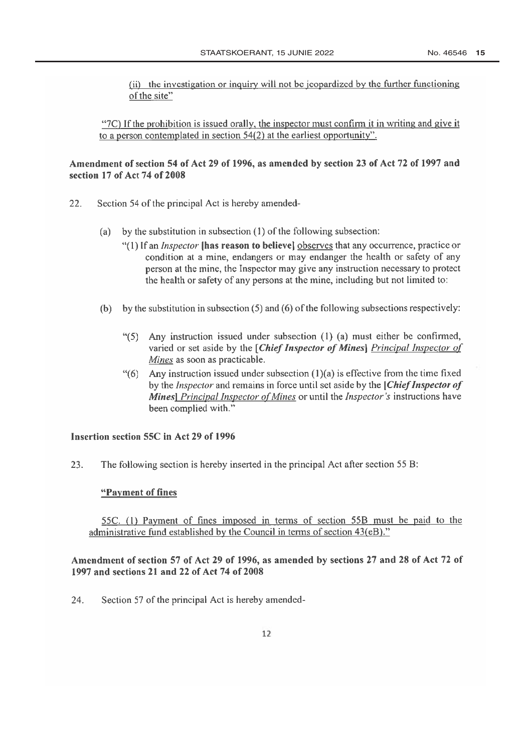(ii) the investigation or inquiry will not be jeopardized by the further functioning of the site"

"7C) If the prohibition is issued orally, the inspector must confirm it in writing and give it to a person contemplated in section  $54(2)$  at the earliest opportunity".

## Amendment of section 54 of Act 29 of 1996, as amended by section 23 of Act 72 of 1997 and section 17 of Act 74 of 2008

- 22. Section 54 of the principal Act is hereby amended
	- by the substitution in subsection (1) of the following subsection:  $(a)$ 
		- "(1) If an *Inspector* **[has reason to believe]** observes that any occurrence, practice or condition at a mine, endangers or may endanger the health or safety of any person at the mine, the Inspector may give any instruction necessary to protect the health or safety of any persons at the mine, including but not limited to:
	- (b) by the substitution in subsection  $(5)$  and  $(6)$  of the following subsections respectively:
		- $``(5)$ Any instruction issued under subsection (1) (a) must either be confirmed, varied or set aside by the [Chief Inspector of Mines] Principal Inspector of Mines as soon as practicable.
		- "(6) Any instruction issued under subsection  $(1)(a)$  is effective from the time fixed by the *Inspector* and remains in force until set aside by the *Chief Inspector of* Mines] Principal Inspector of Mines or until the Inspector's instructions have been complied with."

### Insertion section 55C in Act 29 of 1996

23. The following section is hereby inserted in the principal Act after section 55 B:

#### "Payment of fines

55C. (1) Payment of fines imposed in terms of section 55B must be paid to the administrative fund established by the Council in terms of section 43(eB)."

## Amendment of section 57 of Act 29 of 1996, as amended by sections 27 and 28 of Act 72 of 1997 and sections 21 and 22 of Act 74 of 2008

24. Section 57 of the principal Act is hereby amended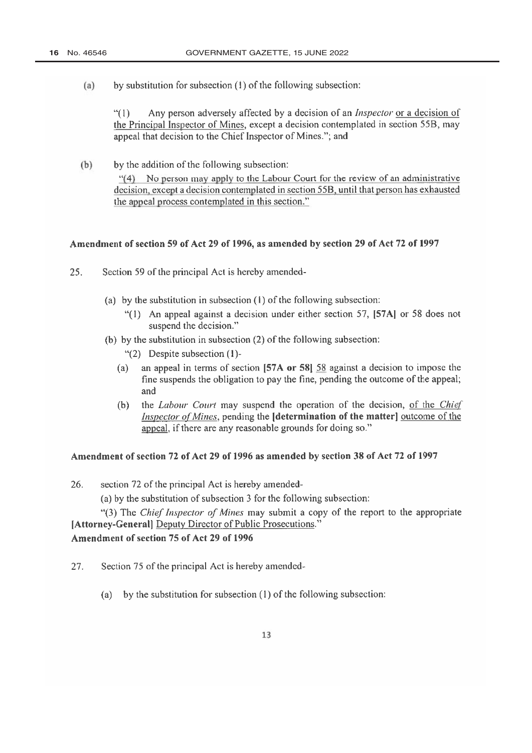$(a)$ by substitution for subsection (1) of the following subsection:

> $\frac{1}{2}$ Any person adversely affected by a decision of an *Inspector* or a decision of the Principal Inspector of Mines, except a decision contemplated in section 55B, may appeal that decision to the Chief Inspector of Mines."; and

 $(b)$ by the addition of the following subsection:

> "(4) No person may apply to the Labour Court for the review of an administrative decision, except a decision contemplated in section 55B, until that person has exhausted the appeal process contemplated in this section."

## Amendment of section 59 of Act 29 of 1996, as amended by section 29 of Act 72 of 1997

- $25.$ Section 59 of the principal Act is hereby amended-
	- (a) by the substitution in subsection  $(1)$  of the following subsection:
		- "(1) An appeal against a decision under either section 57, [57A] or 58 does not suspend the decision."
	- (b) by the substitution in subsection (2) of the following subsection:
		- $\lq(2)$  Despite subsection (1)-
		- an appeal in terms of section [57A or 58] 58 against a decision to impose the  $(a)$ fine suspends the obligation to pay the fine, pending the outcome of the appeal; and
		- the Labour Court may suspend the operation of the decision, of the Chief  $(b)$ *Inspector of Mines*, pending the **[determination of the matter]** outcome of the appeal, if there are any reasonable grounds for doing so."

#### Amendment of section 72 of Act 29 of 1996 as amended by section 38 of Act 72 of 1997

26. section 72 of the principal Act is hereby amended-

(a) by the substitution of subsection 3 for the following subsection:

"(3) The Chief Inspector of Mines may submit a copy of the report to the appropriate [Attorney-General] Deputy Director of Public Prosecutions."

# Amendment of section 75 of Act 29 of 1996

- 27. Section 75 of the principal Act is hereby amended-
	- (a) by the substitution for subsection  $(1)$  of the following subsection: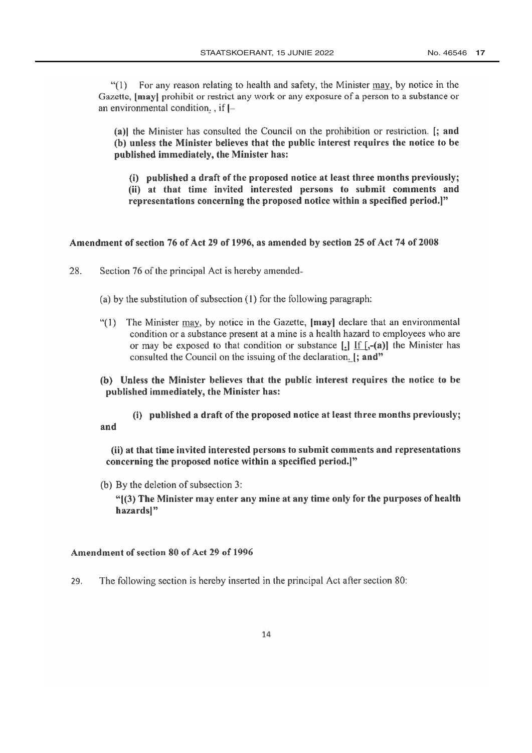For any reason relating to health and safety, the Minister may, by notice in the  $(1)$ Gazette, [may] prohibit or restrict any work or any exposure of a person to a substance or an environmental condition,  $\int$ , if  $\left[-\right]$ 

(a)] the Minister has consulted the Council on the prohibition or restriction. [; and (b) unless the Minister believes that the public interest requires the notice to be published immediately, the Minister has:

(i) published a draft of the proposed notice at least three months previously; (ii) at that time invited interested persons to submit comments and representations concerning the proposed notice within a specified period.]"

#### Amendment of section 76 of Act 29 of 1996, as amended by section 25 of Act 74 of 2008

28. Section 76 of the principal Act is hereby amended-

(a) by the substitution of subsection  $(1)$  for the following paragraph:

- "(1) The Minister may, by notice in the Gazette, [may] declare that an environmental condition or a substance present at a mine is a health hazard to employees who are or may be exposed to that condition or substance  $[\cdot]$  If  $[\cdot, -(\mathbf{a})]$  the Minister has consulted the Council on the issuing of the declaration. [; and"
- (b) Unless the Minister believes that the public interest requires the notice to be published immediately, the Minister has:

(i) published a draft of the proposed notice at least three months previously; and

(ii) at that time invited interested persons to submit comments and representations concerning the proposed notice within a specified period.]"

(b) By the deletion of subsection 3:

"[(3) The Minister may enter any mine at any time only for the purposes of health hazards]"

#### Amendment of section 80 of Act 29 of 1996

29. The following section is hereby inserted in the principal Act after section 80: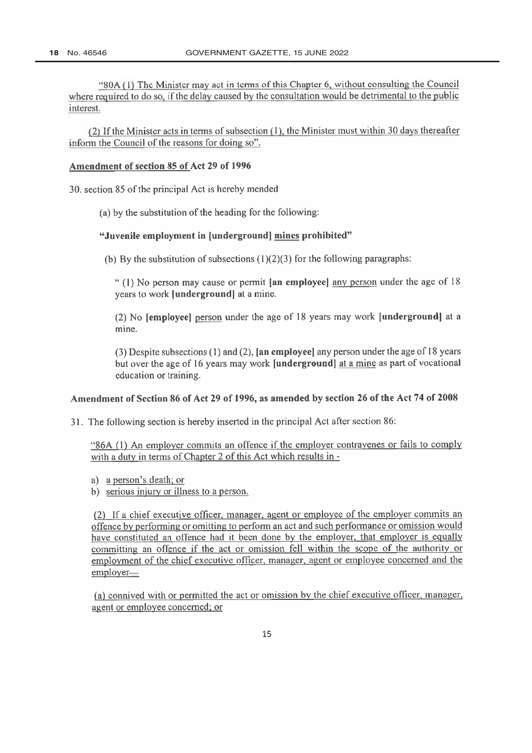"80A (1) The Minister may act in terms of this Chapter 6, without consulting the Council where required to do so, if the delay caused by the consultation would be detrimental to the public interest.

(2) If the Minister acts in terms of subsection (1), the Minister must within 30 days thereafter inform the Council of the reasons for doing so".

#### Amendment of section 85 of Act 29 of 1996

30. section 85 of the principal Act is hereby mended

(a) by the substitution of the heading for the following:

#### "Juvenile employment in [underground] mines prohibited"

(b) By the substitution of subsections  $(1)(2)(3)$  for the following paragraphs:

"(1) No person may cause or permit [an employee] any person under the age of 18 years to work [underground] at a mine.

(2) No [employee] person under the age of 18 years may work [underground] at a mine.

 $(3)$  Despite subsections  $(1)$  and  $(2)$ , [an employee] any person under the age of 18 years but over the age of 16 years may work [underground] at a mine as part of vocational education or training.

#### Amendment of Section 86 of Act 29 of 1996, as amended by section 26 of the Act 74 of 2008

31. The following section is hereby inserted in the principal Act after section 86:

"86A (1) An employer commits an offence if the employer contravenes or fails to comply with a duty in terms of Chapter 2 of this Act which results in -

- a) a person's death; or
- b) serious injury or illness to a person.

(2) If a chief executive officer, manager, agent or employee of the employer commits an offence by performing or omitting to perform an act and such performance or omission would have constituted an offence had it been done by the employer, that employer is equally committing an offence if the act or omission fell within the scope of the authority or employment of the chief executive officer, manager, agent or employee concerned and the employer-

(a) connived with or permitted the act or omission by the chief executive officer, manager, agent or employee concerned; or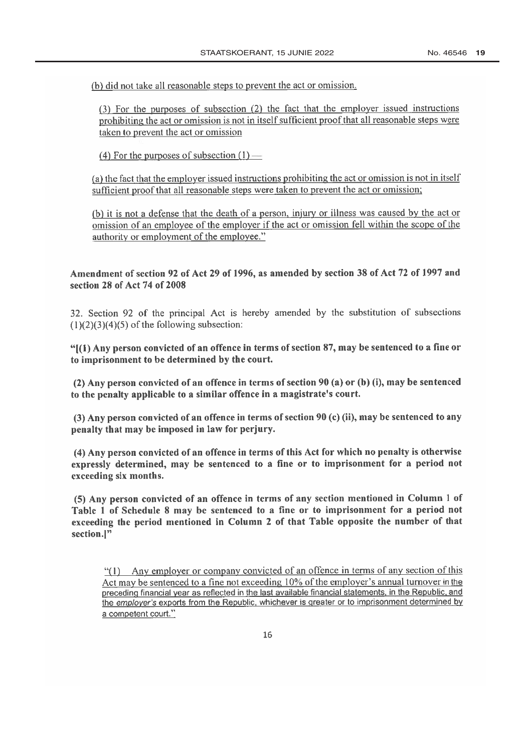(b) did not take all reasonable steps to prevent the act or omission.

(3) For the purposes of subsection (2) the fact that the employer issued instructions prohibiting the act or omission is not in itself sufficient proof that all reasonable steps were taken to prevent the act or omission

(4) For the purposes of subsection  $(1)$  —

(a) the fact that the employer issued instructions prohibiting the act or omission is not in itself sufficient proof that all reasonable steps were taken to prevent the act or omission;

(b) it is not a defense that the death of a person, injury or illness was caused by the act or omission of an employee of the employer if the act or omission fell within the scope of the authority or employment of the employee."

## Amendment of section 92 of Act 29 of 1996, as amended by section 38 of Act 72 of 1997 and section 28 of Act 74 of 2008

32. Section 92 of the principal Act is hereby amended by the substitution of subsections  $(1)(2)(3)(4)(5)$  of the following subsection:

" $(1)$  Any person convicted of an offence in terms of section 87, may be sentenced to a fine or to imprisonment to be determined by the court.

(2) Any person convicted of an offence in terms of section 90 (a) or (b) (i), may be sentenced to the penalty applicable to a similar offence in a magistrate's court.

(3) Any person convicted of an offence in terms of section 90 (c) (ii), may be sentenced to any penalty that may be imposed in law for perjury.

(4) Any person convicted of an offence in terms of this Act for which no penalty is otherwise expressly determined, may be sentenced to a fine or to imprisonment for a period not exceeding six months.

(5) Any person convicted of an offence in terms of any section mentioned in Column 1 of Table 1 of Schedule 8 may be sentenced to a fine or to imprisonment for a period not exceeding the period mentioned in Column 2 of that Table opposite the number of that section.]"

"(1) Any employer or company convicted of an offence in terms of any section of this Act may be sentenced to a fine not exceeding 10% of the employer's annual turnover in the preceding financial year as reflected in the last available financial statements, in the Republic, and the employer's exports from the Republic, whichever is greater or to imprisonment determined by a competent court."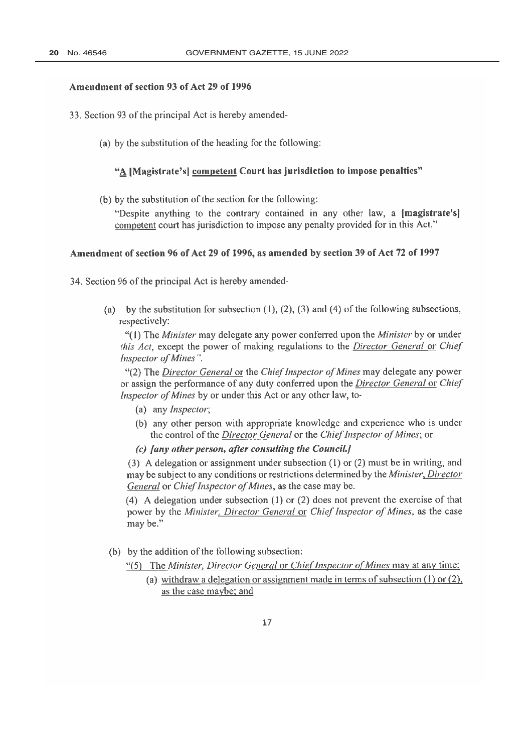#### Amendment of section 93 of Act 29 of 1996

- 33. Section 93 of the principal Act is hereby amended-
	- (a) by the substitution of the heading for the following:

## "A [Magistrate's] competent Court has jurisdiction to impose penalties"

(b) by the substitution of the section for the following:

"Despite anything to the contrary contained in any other law, a magistrate's competent court has jurisdiction to impose any penalty provided for in this Act."

#### Amendment of section 96 of Act 29 of 1996, as amended by section 39 of Act 72 of 1997

34. Section 96 of the principal Act is hereby amended-

(a) by the substitution for subsection  $(1)$ ,  $(2)$ ,  $(3)$  and  $(4)$  of the following subsections, respectively:

"(1) The *Minister* may delegate any power conferred upon the *Minister* by or under this Act, except the power of making regulations to the Director General or Chief Inspector of Mines".

"(2) The Director General or the Chief Inspector of Mines may delegate any power or assign the performance of any duty conferred upon the *Director General* or *Chief* Inspector of Mines by or under this Act or any other law, to-

- (a) any *Inspector*;
- (b) any other person with appropriate knowledge and experience who is under the control of the Director General or the Chief Inspector of Mines; or
- (c) Jany other person, after consulting the Council.]

(3) A delegation or assignment under subsection (1) or (2) must be in writing, and may be subject to any conditions or restrictions determined by the Minister, Director General or Chief Inspector of Mines, as the case may be.

(4) A delegation under subsection (1) or (2) does not prevent the exercise of that power by the Minister, Director General or Chief Inspector of Mines, as the case may be."

(b) by the addition of the following subsection:

"(5) The Minister, Director General or Chief Inspector of Mines may at any time:

(a) withdraw a delegation or assignment made in terms of subsection  $(1)$  or  $(2)$ , as the case maybe; and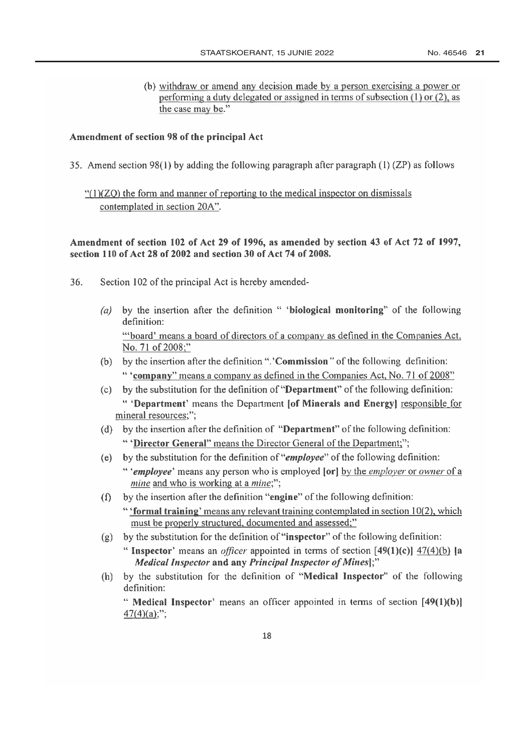(b) withdraw or amend any decision made by a person exercising a power or performing a duty delegated or assigned in terms of subsection  $(1)$  or  $(2)$ , as the case may be."

#### Amendment of section 98 of the principal Act

35. Amend section 98(1) by adding the following paragraph after paragraph  $(1)(ZP)$  as follows

 $\lq(1)(ZO)$  the form and manner of reporting to the medical inspector on dismissals contemplated in section 20A".

## Amendment of section 102 of Act 29 of 1996, as amended by section 43 of Act 72 of 1997, section 110 of Act 28 of 2002 and section 30 of Act 74 of 2008.

- 36. Section 102 of the principal Act is hereby amended
	- by the insertion after the definition " 'biological monitoring" of the following  $(a)$ definition: "board' means a board of directors of a company as defined in the Companies Act, No. 71 of 2008;"
	- (b) by the insertion after the definition ".'Commission" of the following definition: "Company" means a company as defined in the Companies Act, No. 71 of 2008"
	- (c) by the substitution for the definition of "**Department**" of the following definition: " 'Department' means the Department [of Minerals and Energy] responsible for mineral resources;";
	- (d) by the insertion after the definition of "Department" of the following definition: " 'Director General" means the Director General of the Department;";
	- by the substitution for the definition of "*employee*" of the following definition:  $(e)$ " 'employee' means any person who is employed [or] by the employer or owner of a mine and who is working at a mine;";
	- by the insertion after the definition "engine" of the following definition:  $(f)$ "'formal training' means any relevant training contemplated in section 10(2), which must be properly structured, documented and assessed;"
	- $(g)$  by the substitution for the definition of "inspector" of the following definition:
		- " Inspector' means an *officer* appointed in terms of section  $[49(1)(c)]$   $47(4)(b)$  [a Medical Inspector and any Principal Inspector of Mines];"
	- (h) by the substitution for the definition of "Medical Inspector" of the following definition:

" Medical Inspector' means an officer appointed in terms of section  $[49(1)(b)]$  $47(4)(a)$ ;";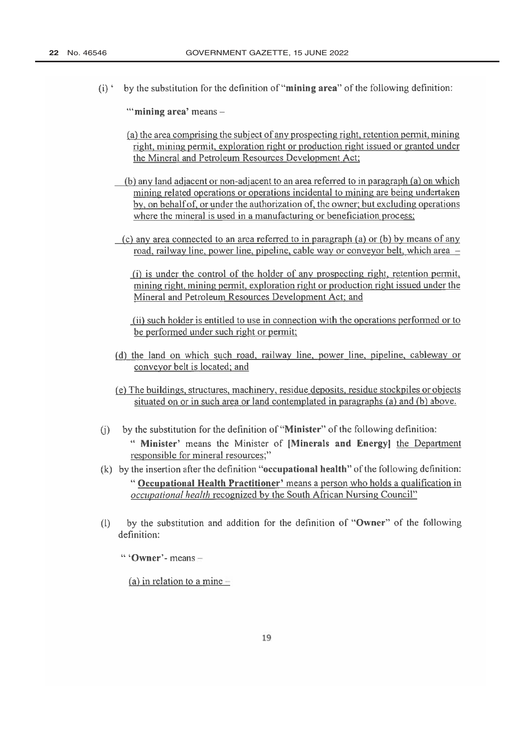$(i)$  by the substitution for the definition of "mining area" of the following definition:

"mining area' means -

- (a) the area comprising the subject of any prospecting right, retention permit, mining right, mining permit, exploration right or production right issued or granted under the Mineral and Petroleum Resources Development Act;
- (b) any land adjacent or non-adjacent to an area referred to in paragraph (a) on which mining related operations or operations incidental to mining are being undertaken by, on behalf of, or under the authorization of, the owner; but excluding operations where the mineral is used in a manufacturing or beneficiation process;
- (c) any area connected to an area referred to in paragraph (a) or (b) by means of any road, railway line, power line, pipeline, cable way or conveyor belt, which area -
	- (i) is under the control of the holder of any prospecting right, retention permit, mining right, mining permit, exploration right or production right issued under the Mineral and Petroleum Resources Development Act; and

(ii) such holder is entitled to use in connection with the operations performed or to be performed under such right or permit;

- (d) the land on which such road, railway line, power line, pipeline, cableway or conveyor belt is located; and
- (e) The buildings, structures, machinery, residue deposits, residue stockpiles or objects situated on or in such area or land contemplated in paragraphs (a) and (b) above.
- by the substitution for the definition of "Minister" of the following definition:  $(i)$ " Minister' means the Minister of [Minerals and Energy] the Department responsible for mineral resources;"
- $(k)$  by the insertion after the definition "occupational health" of the following definition: " Occupational Health Practitioner' means a person who holds a qualification in *occupational health* recognized by the South African Nursing Council"
- $(1)$ by the substitution and addition for the definition of "Owner" of the following definition:

" 'Owner'- means  $-$ 

(a) in relation to a mine  $-$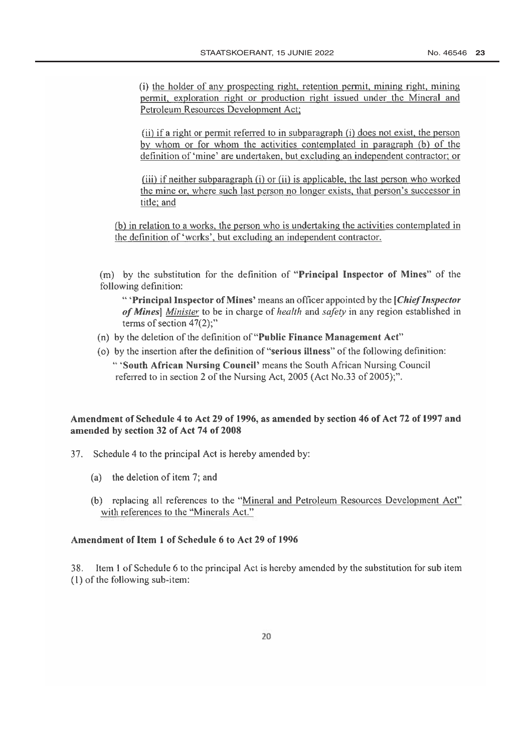(i) the holder of any prospecting right, retention permit, mining right, mining permit, exploration right or production right issued under the Mineral and Petroleum Resources Development Act;

(ii) if a right or permit referred to in subparagraph (i) does not exist, the person by whom or for whom the activities contemplated in paragraph (b) of the definition of 'mine' are undertaken, but excluding an independent contractor; or

(iii) if neither subparagraph (i) or (ii) is applicable, the last person who worked the mine or, where such last person no longer exists, that person's successor in title; and

(b) in relation to a works, the person who is undertaking the activities contemplated in the definition of 'works', but excluding an independent contractor.

(m) by the substitution for the definition of "Principal Inspector of Mines" of the following definition:

" Principal Inspector of Mines' means an officer appointed by the *Chief Inspector* of Mines] Minister to be in charge of health and safety in any region established in terms of section  $47(2)$ ;"

- (n) by the deletion of the definition of "Public Finance Management Act"
- (o) by the insertion after the definition of "serious illness" of the following definition: "South African Nursing Council' means the South African Nursing Council referred to in section 2 of the Nursing Act, 2005 (Act No.33 of 2005);".

## Amendment of Schedule 4 to Act 29 of 1996, as amended by section 46 of Act 72 of 1997 and amended by section 32 of Act 74 of 2008

- Schedule 4 to the principal Act is hereby amended by:  $37.$ 
	- (a) the deletion of item 7; and
	- (b) replacing all references to the "Mineral and Petroleum Resources Development Act" with references to the "Minerals Act."

## Amendment of Item 1 of Schedule 6 to Act 29 of 1996

Item 1 of Schedule 6 to the principal Act is hereby amended by the substitution for sub item 38. (1) of the following sub-item: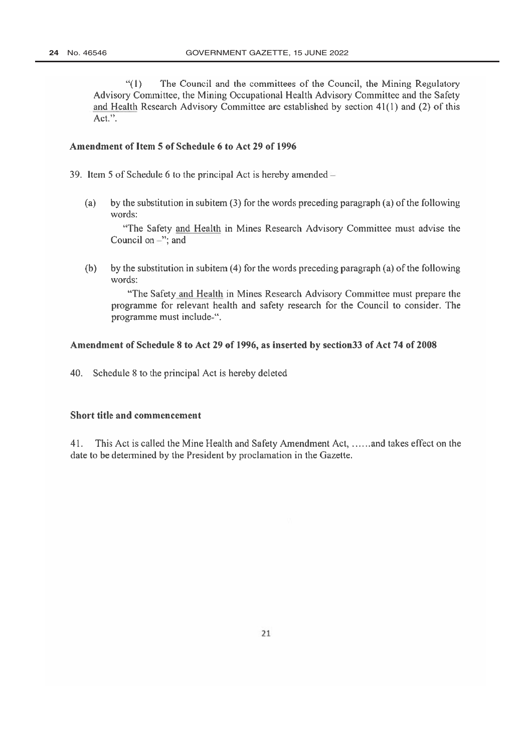The Council and the committees of the Council, the Mining Regulatory  $``(1)$ Advisory Committee, the Mining Occupational Health Advisory Committee and the Safety and Health Research Advisory Committee are established by section 41(1) and (2) of this  $Act."$ .

#### Amendment of Item 5 of Schedule 6 to Act 29 of 1996

39. Item 5 of Schedule 6 to the principal Act is hereby amended –

 $(a)$ by the substitution in subitem (3) for the words preceding paragraph (a) of the following words:

"The Safety and Health in Mines Research Advisory Committee must advise the Council on  $-$ "; and

 $(b)$ by the substitution in subitem (4) for the words preceding paragraph (a) of the following words:

"The Safety and Health in Mines Research Advisory Committee must prepare the programme for relevant health and safety research for the Council to consider. The programme must include-".

#### Amendment of Schedule 8 to Act 29 of 1996, as inserted by section 33 of Act 74 of 2008

Schedule 8 to the principal Act is hereby deleted 40.

#### Short title and commencement

 $41.$ This Act is called the Mine Health and Safety Amendment Act, ......and takes effect on the date to be determined by the President by proclamation in the Gazette.